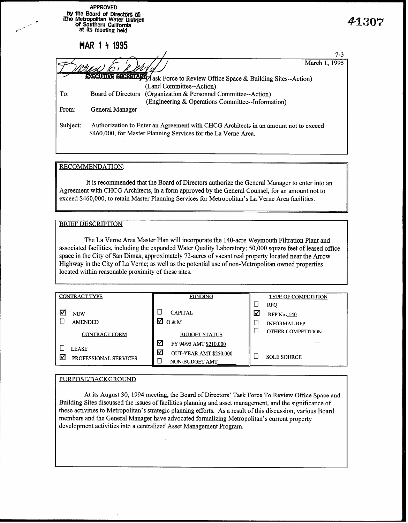|          | <b>APPROVED</b><br>by the Board of Directors of<br>The Metropolitan Water District<br>of Southern California<br>at its meeting held                   | 41307         |  |
|----------|-------------------------------------------------------------------------------------------------------------------------------------------------------|---------------|--|
|          | MAR 1 4 1995                                                                                                                                          |               |  |
|          |                                                                                                                                                       | $7 - 3$       |  |
|          | <b>EXECUTIVE SECRETARY</b> (Task Force to Review Office Space & Building Sites--Action)<br>(Land Committee--Action)                                   | March 1, 1995 |  |
| To:      | Board of Directors<br>(Organization & Personnel Committee--Action)<br>(Engineering & Operations Committee-Information)                                |               |  |
| From:    | General Manager                                                                                                                                       |               |  |
| Subject: | Authorization to Enter an Agreement with CHCG Architects in an amount not to exceed<br>\$460,000, for Master Planning Services for the La Verne Area. |               |  |

### RECOMMENDATION:

It is recommended that the Board of Directors authorize the General Manager to enter into an Agreement with CHCG Architects, in a form approved by the General Counsel, for an amount not to exceed \$460,000, to retain Master Planning Services for Metropolitan's La Verne Area facilities.

#### BRIEF DESCRIPTION

The La Verne Area Master Plan will incorporate the 140-acre Weymouth Filtration Plant and associated facilities, including the expanded Water Quality Laboratory; 50,000 square feet of leased office space in the City of San Dimas; approximately 72-acres of vacant real property located near the Arrow Highway in the City of La Verne; as well as the potential use of non-Metropolitan owned properties located within reasonable proximity of these sites.

| <b>CONTRACT TYPE</b>                       | <b>FUNDING</b>                                                               |   | <b>TYPE OF COMPETITION</b>                      |
|--------------------------------------------|------------------------------------------------------------------------------|---|-------------------------------------------------|
| M<br><b>NEW</b><br><b>AMENDED</b>          | <b>CAPITAL</b><br>☑<br>0 & M                                                 | ☑ | <b>RFO</b><br><b>RFP No. 140</b>                |
| <b>CONTRACT FORM</b>                       | <b>BUDGET STATUS</b>                                                         |   | <b>INFORMAL RFP</b><br><b>OTHER COMPETITION</b> |
| <b>LEASE</b><br>⊽<br>PROFESSIONAL SERVICES | ☑<br>FY 94/95 AMT \$210,000<br>☑<br>OUT-YEAR AMT \$250,000<br>NON-BUDGET AMT |   | <b>SOLE SOURCE</b>                              |

### PURPOSE/BACKGROUND

At its August 30, 1994 meeting, the Board of Directors' Task Force To Review Office Space and Building Sites discussed the issues of facilities planning and asset management, and the significance of these activities to Metropolitan's strategic planning efforts. As a result of this discussion, various Board members and the General Manager have advocated formalizing Metropolitan's current property development activities into a centralized Asset Management Program.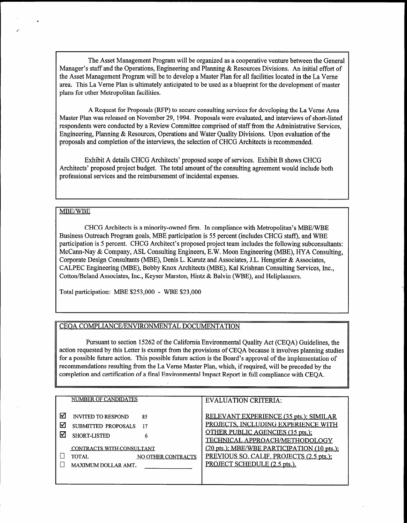The Asset Management Program will be organized as a cooperative venture between the General Manager's staff and the Operations, Engineering and Planning & Resources Divisions. An initial effort of the Asset Management Program will be to develop a Master Plan for all facilities located in the La Verne area. This La Verne Plan is ultimately anticipated to be used as a blueprint for the development of master plans for other Metropolitan facilities.

A Request for Proposals (RFP) to secure consulting services for developing the La Verne Area Master Plan was released on November 29, 1994. Proposals were evaluated, and interviews of short-listed respondents were conducted by a Review Committee comprised of staff from the Administrative Services, Engineering, Planning & Resources, Operations and Water Quality Divisions. Upon evaluation of the proposals and completion of the interviews, the selection of CHCG Architects is recommended.

Exhibit A details CHCG Architects' proposed scope of services. Exhibit B shows CHCG Architects' proposed project budget. The total amount of the consulting agreement would include both professional services and the reimbursement of incidental expenses.

#### MBE/WBE

CHCG Architects is a minority-owned firm. In compliance with Metropolitan's MBE/WBE Business Outreach Program goals, MBE participation is 55 percent (includes CHCG staff), and WBE participation is 5 percent. CHCG Architect's proposed project team includes the following subconsultants: McCann-Nay & Company, ASL Consulting Engineers, E.W. Moon Engineering (MBE), HYA Consulting, Corporate Design Consultants (MBE), Denis L. Kurutz and Associates, J.L. Hengstier & Associates, CALPEC Engineering (MBE), Bobby Knox Architects (MBE), Kal Krishnan Consulting Services, Inc., Cotton/Beland Associates, Inc., Keyser Marston, Hintz & Balvin (WBE), and Heliplanners.

Total participation: MBE \$253,000 - WBE \$23,000

#### CEQA COMPLIANCE/ENVIRONMENTAL DOCUMENTATION

Pursuant to section 15262 of the California Environmental Quality Act (CEQA) Guidelines, the Fursuant to section 15262 of the Cambridge Environmental Quality Act (CEQA) Guidelines, the action requested by this Letter is exempt from the provisions of CEOA because it involves planning studies for a possible future action. This possible future action is the Board's approval of the implementation of recommendations resulting from the La Verne Master Plan, which, if required, will be preceded by the completion and certification of a final Environmental Impact Report in full compliance with CEQA.

|   | NUMBER OF CANDIDATES                      | <b>EVALUATION CRITERIA:</b>                 |
|---|-------------------------------------------|---------------------------------------------|
|   |                                           |                                             |
|   |                                           |                                             |
|   | <b>INVITED TO RESPOND</b><br>85           | RELEVANT EXPERIENCE (35 pts.); SIMILAR      |
| ₩ | SUBMITTED PROPOSALS                       | <b>PROJECTS, INCLUDING EXPERIENCE WITH</b>  |
|   |                                           | OTHER PUBLIC AGENCIES (35 pts.);            |
|   | SHORT-LISTED<br>6                         |                                             |
|   |                                           | <u>TECHNICAL APPROACH/METHODOLOGY</u>       |
|   | <b>CONTRACTS WITH CONSULTANT</b>          | (20 pts.); MBE/WBE PARTICIPATION (10 pts.); |
|   | <b>TOTAL</b><br><b>NO OTHER CONTRACTS</b> | PREVIOUS SO. CALIF. PROJECTS (2.5 pts.);    |
|   | MAXIMUM DOLLAR AMT.                       | PROJECT SCHEDULE (2.5 pts.).                |
|   |                                           |                                             |
|   |                                           |                                             |
|   |                                           |                                             |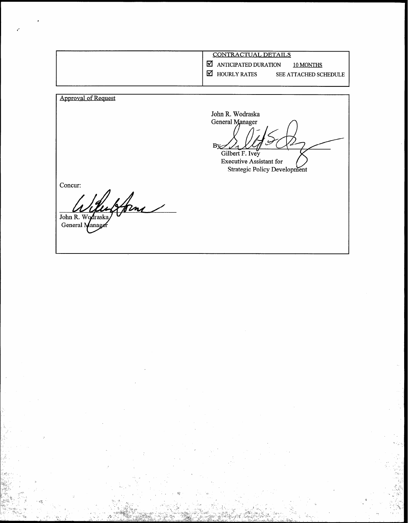| <b>CONTRACTUAL DETAILS</b>                                                                      |
|-------------------------------------------------------------------------------------------------|
| l۷l<br>ANTICIPATED DURATION<br>10 MONTHS<br>I۷.<br><b>HOURLY RATES</b><br>SEE ATTACHED SCHEDULE |
|                                                                                                 |

Approval of Request

John R. Wodraska<br>General Manager  $B_{X}$ 

1

- -3 -3; .- •.

Gilbert F. Ivey Executive Assistant for Strategic Policy Develop

Concur:

form John R. Wodraska

General Manage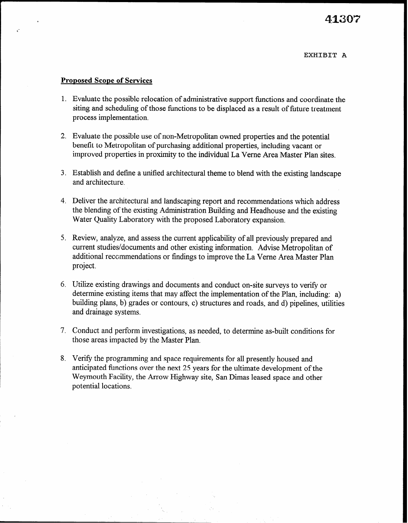### Proposed Scope of Services

- 1. Evaluate the possible relocation of administrative support functions and coordinate the siting and scheduling of those functions to be displaced as a result of future treatment process implementation.
- 2. Evaluate the possible use of non-Metropolitan owned properties and the potential benefit to Metropolitan of purchasing additional properties, including vacant or improved properties in proximity to the individual La Verne Area Master Plan sites.
- 3. Establish and define a unified architectural theme to blend with the existing landscape and architecture.
- 4. Deliver the architectural and landscaping report and recommendations which address the blending of the existing Administration Building and Headhouse and the existing Water Quality Laboratory with the proposed Laboratory expansion.
- 5. Review, analyze, and assess the current applicability of all previously prepared and current studies/documents and other existing information. Advise Metropolitan of additional reccmmendations or findings to improve the La Verne Area Master Plan project.
- 6. Utilize existing drawings and documents and conduct on-site surveys to verify or determine existing items that may affect the implementation of the Plan, including: a) building plans, b) grades or contours, c) structures and roads, and d) pipelines, utilities and drainage systems.
- 7. Conduct and perform investigations, as needed, to determine as-built conditions for those areas impacted by the Master Plan.
- 8. Verify the programming and space requirements for all presently housed and anticipated functions over the next 25 years for the ultimate development of the Weymouth Facility, the Arrow Highway site, San Dimas leased space and other potential locations.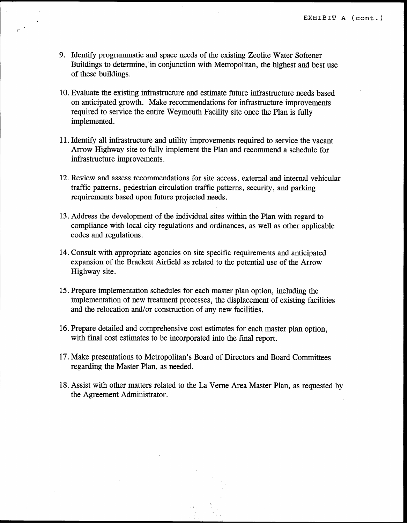- 9. Identify programmatic and space needs of the existing Zeolite Water Softener Buildings to determine, in conjunction with Metropolitan, the highest and best use of these buildings.
- 10. Evaluate the existing infrastructure and estimate future infrastructure needs based on anticipated growth. Make recommendations for infrastructure improvements required to service the entire Weymouth Facility site once the Plan is fully implemented.
- 11. Identify all infrastructure and utility improvements required to service the vacant Arrow Highway site to fully implement the Plan and recommend a schedule for infrastructure improvements.
- 12. Review and assess recommendations for site access, external and internal vehicular traffic patterns, pedestrian circulation traffic patterns, security, and parking requirements based upon future projected needs.
- 13. Address the development of the individual sites within the Plan with regard to compliance with local city regulations and ordinances, as well as other applicable codes and regulations.
- 14. Consult with appropriate agencies on site specific requirements and anticipated expansion of the Brackett Airfield as related to the potential use of the Arrow Highway site.
- 15. Prepare implementation schedules for each master plan option, including the implementation of new treatment processes, the displacement of existing facilities and the relocation and/or construction of any new facilities.
- 16. Prepare detailed and comprehensive cost estimates for each master plan option, with final cost estimates to be incorporated into the final report.
- 17. Make presentations to Metropolitan's Board of Directors and Board Committees regarding the Master Plan, as needed.
- 18. Assist with other matters related to the La Verne Area Master Plan, as requested by the Agreement Administrator.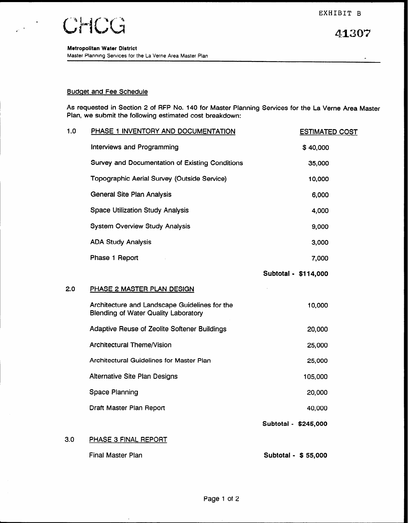41307



 $\frac{1}{\sqrt{2}}\left(\frac{1}{\sqrt{2}}\right)^{\frac{1}{2}}$ 

#### Budaet and Fee Schedule

As requested in Section 2 of RFP No. 140 for Master Planning Services for the La Verne Area Master Plan, we submit the following estimated cost breakdown:

| 1.0 | PHASE 1 INVENTORY AND DOCUMENTATION                                                          | <b>ESTIMATED COST</b> |
|-----|----------------------------------------------------------------------------------------------|-----------------------|
|     | Interviews and Programming                                                                   | \$40,000              |
|     | Survey and Documentation of Existing Conditions                                              | 35,000                |
|     | Topographic Aerial Survey (Outside Service)                                                  | 10,000                |
|     | General Site Plan Analysis                                                                   | 6,000                 |
|     | <b>Space Utilization Study Analysis</b>                                                      | 4,000                 |
|     | <b>System Overview Study Analysis</b>                                                        | 9,000                 |
|     | <b>ADA Study Analysis</b>                                                                    | 3,000                 |
|     | Phase 1 Report                                                                               | 7,000                 |
|     |                                                                                              | Subtotal - \$114,000  |
| 2.0 | PHASE 2 MASTER PLAN DESIGN                                                                   |                       |
|     | Architecture and Landscape Guidelines for the<br><b>Blending of Water Quality Laboratory</b> | 10,000                |
|     | Adaptive Reuse of Zeolite Softener Buildings                                                 | 20,000                |
|     | Architectural Theme/Vision                                                                   | 25,000                |
|     | Architectural Guidelines for Master Plan                                                     | 25,000                |
|     | Alternative Site Plan Designs                                                                | 105,000               |
|     | Space Planning                                                                               | 20,000                |
|     | Draft Master Plan Report                                                                     | 40,000                |
|     |                                                                                              | Subtotal - \$245,000  |
| 3.0 | PHASE 3 FINAL REPORT                                                                         |                       |
|     | <b>Final Master Plan</b>                                                                     | Subtotal - \$55,000   |

 $\ddot{\phantom{a}}$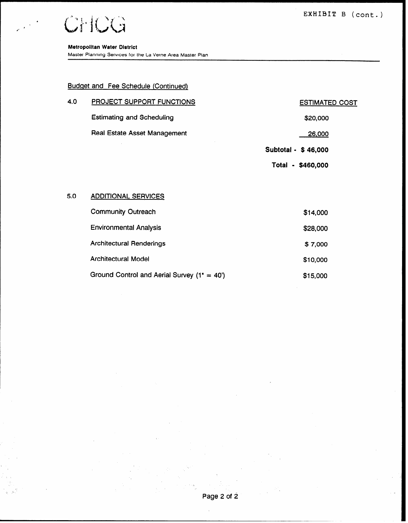EXHIBIT B (cont.)

 $\blacksquare$ 

 $e^{-t}$ 

Master Planning Services for the La Verne Area Master Plan

### Budget and Fee Schedule (Continued)

| 4.0 | <b>PROJECT SUPPORT FUNCTIONS</b>    | <b>ESTIMATED COST</b> |
|-----|-------------------------------------|-----------------------|
|     | <b>Estimating and Scheduling</b>    | \$20,000              |
|     | <b>Real Estate Asset Management</b> | 26,000                |
|     |                                     | Subtotal - \$46,000   |
|     |                                     | Total - \$460,000     |
|     |                                     |                       |

#### 5.0 ADDITIONAL SERVICES

| <b>Community Outreach</b>                       | \$14,000 |
|-------------------------------------------------|----------|
| <b>Environmental Analysis</b>                   | \$28,000 |
| <b>Architectural Renderings</b>                 | \$7,000  |
| <b>Architectural Model</b>                      | \$10,000 |
| Ground Control and Aerial Survey $(1^* = 40^*)$ | \$15,000 |

 $\ddot{\phantom{a}}$